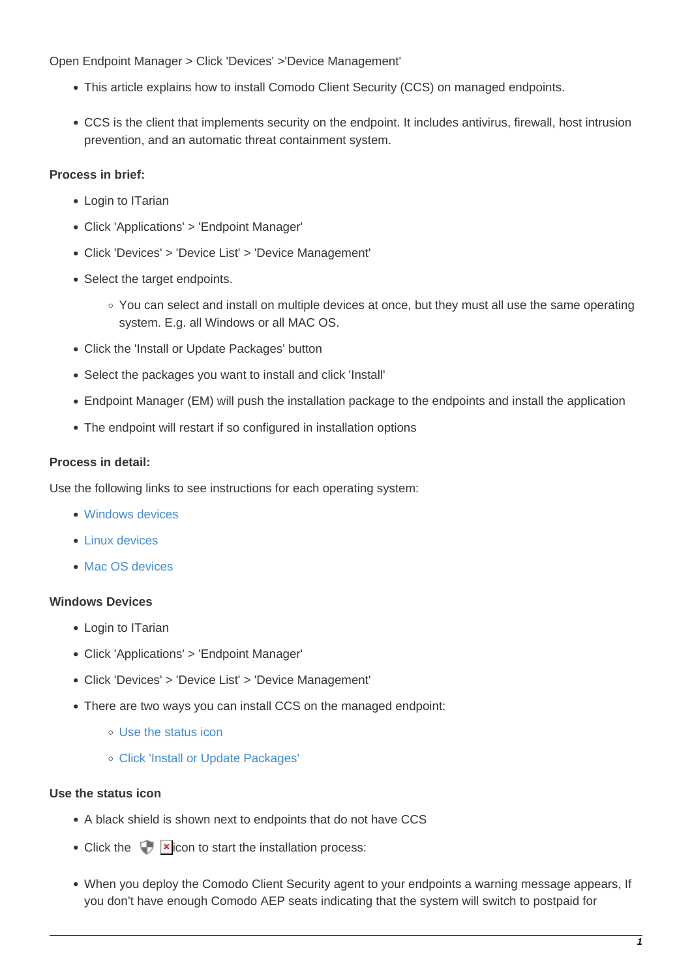Open Endpoint Manager > Click 'Devices' >'Device Management'

- This article explains how to install Comodo Client Security (CCS) on managed endpoints.
- CCS is the client that implements security on the endpoint. It includes antivirus, firewall, host intrusion prevention, and an automatic threat containment system.

### **Process in brief:**

- Login to ITarian
- Click 'Applications' > 'Endpoint Manager'
- Click 'Devices' > 'Device List' > 'Device Management'
- Select the target endpoints.
	- You can select and install on multiple devices at once, but they must all use the same operating system. E.g. all Windows or all MAC OS.
- Click the 'Install or Update Packages' button
- Select the packages you want to install and click 'Install'
- Endpoint Manager (EM) will push the installation package to the endpoints and install the application
- The endpoint will restart if so configured in installation options

#### **Process in detail:**

Use the following links to see instructions for each operating system:

- [Windows devices](#page-0-0)
- [Linux devices](#page-4-0)
- [Mac OS devices](#page-4-1)

#### <span id="page-0-0"></span>**Windows Devices**

- Login to ITarian
- Click 'Applications' > 'Endpoint Manager'
- Click 'Devices' > 'Device List' > 'Device Management'
- There are two ways you can install CCS on the managed endpoint:
	- [Use the status icon](#page-0-1)
	- [Click 'Install or Update Packages'](#page-1-0)

#### <span id="page-0-1"></span>**Use the status icon**

- A black shield is shown next to endpoints that do not have CCS
- Click the  $\Box$  icon to start the installation process:
- When you deploy the Comodo Client Security agent to your endpoints a warning message appears, If you don't have enough Comodo AEP seats indicating that the system will switch to postpaid for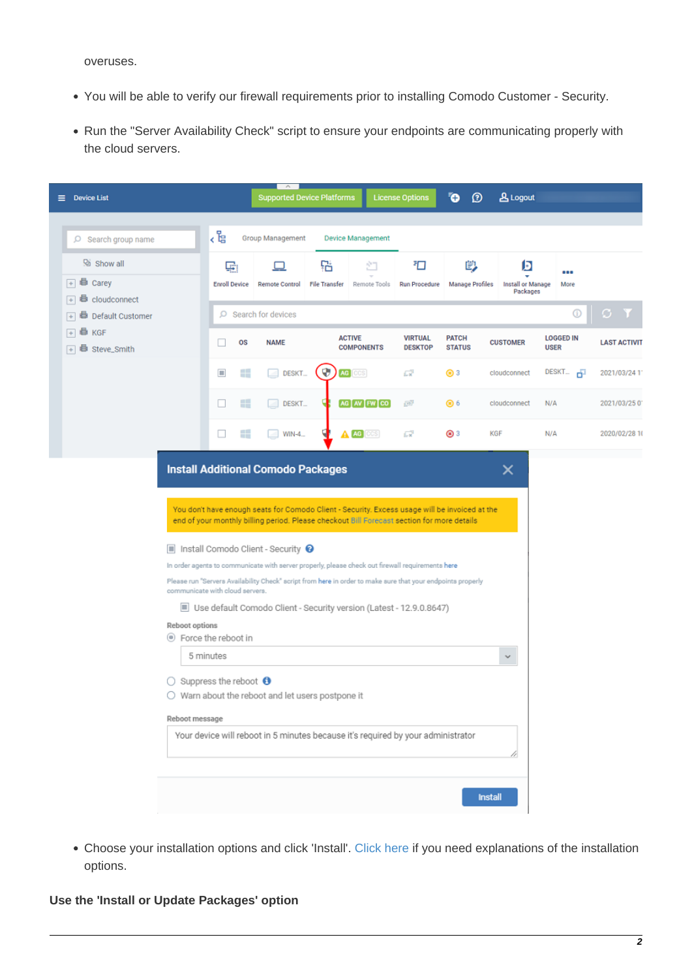overuses.

- You will be able to verify our firewall requirements prior to installing Comodo Customer Security.
- Run the "Server Availability Check" script to ensure your endpoints are communicating properly with the cloud servers.

| $\equiv$ Device List                                                   |                                                                                                                    | <b>Supported Device Platforms</b>                                                                                                                                                                                                                                                                                                                                                                                                                                              |                           |                                    | <b>License Options</b>           | $\ddot{\mathbf{O}}$<br>Ø      | <b>A</b> Logout                           |                                 |                     |
|------------------------------------------------------------------------|--------------------------------------------------------------------------------------------------------------------|--------------------------------------------------------------------------------------------------------------------------------------------------------------------------------------------------------------------------------------------------------------------------------------------------------------------------------------------------------------------------------------------------------------------------------------------------------------------------------|---------------------------|------------------------------------|----------------------------------|-------------------------------|-------------------------------------------|---------------------------------|---------------------|
| $O$ Search group name                                                  | 。<br>사람                                                                                                            | Group Management                                                                                                                                                                                                                                                                                                                                                                                                                                                               |                           | <b>Device Management</b>           |                                  |                               |                                           |                                 |                     |
| <sup>D</sup> Show all<br><b>B</b> Carey<br>$\left  + \right $          | 鷗<br><b>Enroll Device</b>                                                                                          | <b>Remote Control</b>                                                                                                                                                                                                                                                                                                                                                                                                                                                          | 钻<br><b>File Transfer</b> | ۶T<br>Remote Tools                 | ₹O<br><b>Run Procedure</b>       | 閁<br><b>Manage Profiles</b>   | D<br><b>Install or Manage</b><br>Packages | 888<br>More                     |                     |
| $\boxed{+}$ $\frac{1}{2}$ cloudconnect<br>Default Customer<br>8<br>$+$ |                                                                                                                    | $O$ Search for devices                                                                                                                                                                                                                                                                                                                                                                                                                                                         |                           |                                    |                                  |                               |                                           | ⊕                               | G Y                 |
| KGF<br>$+$<br>⊜<br>$\boxed{+}$ $\frac{1}{20}$ Steve_Smith              | os                                                                                                                 | <b>NAME</b>                                                                                                                                                                                                                                                                                                                                                                                                                                                                    |                           | <b>ACTIVE</b><br><b>COMPONENTS</b> | <b>VIRTUAL</b><br><b>DESKTOP</b> | <b>PATCH</b><br><b>STATUS</b> | <b>CUSTOMER</b>                           | <b>LOGGED IN</b><br><b>USER</b> | <b>LAST ACTIVIT</b> |
|                                                                        | Æ<br>m                                                                                                             | DESKT_<br>$\sim$                                                                                                                                                                                                                                                                                                                                                                                                                                                               | v                         | AG CCS                             | СŸ                               | ⊛ 3                           | cloudconnect                              | $DESKT = \overline{1}$          | 2021/03/24 11       |
|                                                                        | æ<br>E                                                                                                             | DESKT_                                                                                                                                                                                                                                                                                                                                                                                                                                                                         |                           | AG AV FW CO                        | 國                                | ⊛ 6                           | cloudconnect                              | N/A                             | 2021/03/250         |
|                                                                        | H<br>$\Box$                                                                                                        | $WIN-4$                                                                                                                                                                                                                                                                                                                                                                                                                                                                        |                           | A AG COS                           | $\overline{\mathbb{L} \times}$   | ⊛ 3                           | KGF                                       | N/A                             | 2020/02/28 10       |
| $\Box$<br>Reboot options<br>Reboot message                             | communicate with cloud servers.<br>● Force the reboot in<br>5 minutes<br>$\bigcirc$ Suppress the reboot $\bigcirc$ | Install Comodo Client - Security @<br>In order agents to communicate with server properly, please check out firewall requirements here<br>Please run "Servers Availability Check" script from here in order to make sure that your endpoints properly<br>Use default Comodo Client - Security version (Latest - 12.9.0.8647)<br>$\bigcirc$ Warn about the reboot and let users postpone it<br>Your device will reboot in 5 minutes because it's required by your administrator |                           |                                    |                                  |                               |                                           |                                 |                     |
|                                                                        |                                                                                                                    |                                                                                                                                                                                                                                                                                                                                                                                                                                                                                |                           |                                    |                                  |                               | <b>Install</b>                            |                                 |                     |

Choose your installation options and click 'Install'. [Click here](#page-2-0) if you need explanations of the installation options.

### <span id="page-1-0"></span>**Use the 'Install or Update Packages' option**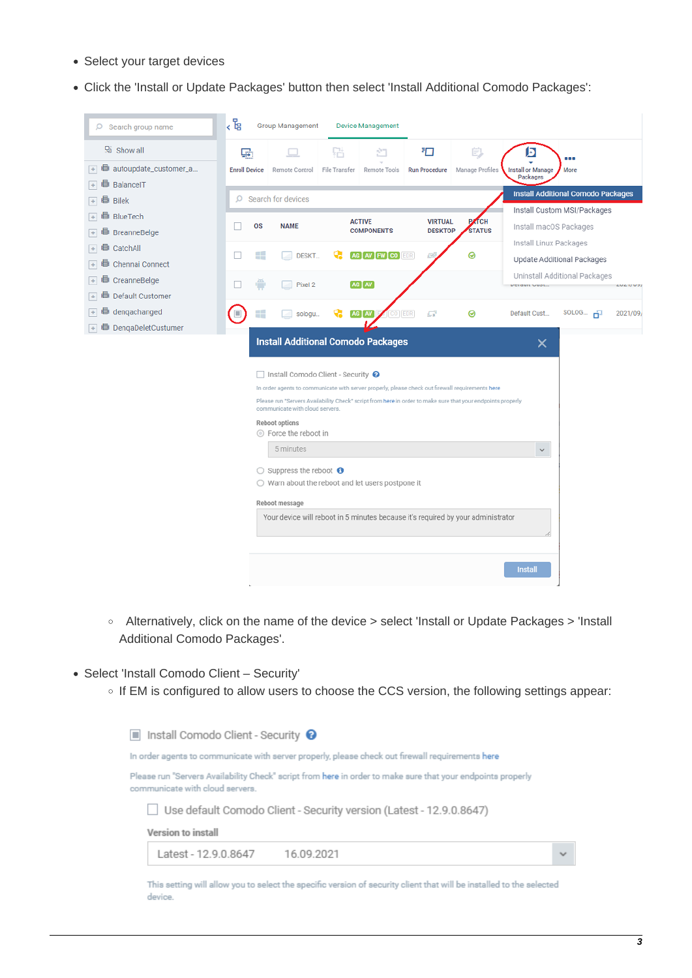- Select your target devices
- Click the 'Install or Update Packages' button then select 'Install Additional Comodo Packages':

| $O$ Search group name                 | 。<br>「是              | <b>Group Management</b>                                                                                                                                                                                                                                                                                                                                                                                                                                                                                                                                                                                 |               | <b>Device Management</b> |                           |                 |                                      |                                           |                |
|---------------------------------------|----------------------|---------------------------------------------------------------------------------------------------------------------------------------------------------------------------------------------------------------------------------------------------------------------------------------------------------------------------------------------------------------------------------------------------------------------------------------------------------------------------------------------------------------------------------------------------------------------------------------------------------|---------------|--------------------------|---------------------------|-----------------|--------------------------------------|-------------------------------------------|----------------|
| $\mathbb{R}$ Show all                 | ري                   |                                                                                                                                                                                                                                                                                                                                                                                                                                                                                                                                                                                                         | 돼             | ŠΠ                       | 扣                         | 皀               | D                                    | .                                         |                |
| <b>B</b> autoupdate_customer_a<br>$+$ | <b>Enroll Device</b> | Remote Control                                                                                                                                                                                                                                                                                                                                                                                                                                                                                                                                                                                          | File Transfer | Remote Tools             | <b>Run Procedure</b>      | Manage Profiles | <b>Install or Manage</b><br>Packages | More                                      |                |
| BalancelT                             |                      |                                                                                                                                                                                                                                                                                                                                                                                                                                                                                                                                                                                                         |               |                          |                           |                 |                                      |                                           |                |
| <b>Bilek</b>                          |                      | $O$ Search for devices                                                                                                                                                                                                                                                                                                                                                                                                                                                                                                                                                                                  |               |                          |                           |                 |                                      | <b>Install Additional Comodo Packages</b> |                |
| <b>■ BlueTech</b><br>$+$              |                      |                                                                                                                                                                                                                                                                                                                                                                                                                                                                                                                                                                                                         |               | <b>ACTIVE</b>            | <b>VIRTUAL</b>            | <b>PATCH</b>    |                                      | Install Custom MSI/Packages               |                |
| <b>BreanneBelge</b>                   | <b>OS</b>            | <b>NAME</b>                                                                                                                                                                                                                                                                                                                                                                                                                                                                                                                                                                                             |               | <b>COMPONENTS</b>        | <b>DESKTOP</b>            | <b>STATUS</b>   | Install macOS Packages               |                                           |                |
| CatchAll<br>$\div$                    | Æ<br>H               | <b>DESKT</b>                                                                                                                                                                                                                                                                                                                                                                                                                                                                                                                                                                                            |               | AG NV FW CO EDR          | $\overline{\mathbb{R}^2}$ | ◉               | Install Linux Packages               |                                           |                |
| <b>d</b> Chennai Connect<br>$+$       |                      |                                                                                                                                                                                                                                                                                                                                                                                                                                                                                                                                                                                                         |               |                          |                           |                 |                                      | Update Additional Packages                |                |
| <b>■</b> CreanneBelge<br>$+$          |                      | Pixel 2                                                                                                                                                                                                                                                                                                                                                                                                                                                                                                                                                                                                 |               | AG MV                    |                           |                 | Derault Oubt                         | Uninstall Additional Packages             | <b>LULITUS</b> |
| <b>B</b> Default Customer<br>$+$      |                      |                                                                                                                                                                                                                                                                                                                                                                                                                                                                                                                                                                                                         |               |                          |                           |                 |                                      |                                           |                |
| dengachanged<br>$+$                   |                      | sologu                                                                                                                                                                                                                                                                                                                                                                                                                                                                                                                                                                                                  |               | AG MV<br>O EDR           | £Ж                        | ⊚               | Default Cust                         | SOLOG $\overline{\mathbf{D}}$             | 2021/09/       |
| <b>■</b> DengaDeletCustumer           |                      |                                                                                                                                                                                                                                                                                                                                                                                                                                                                                                                                                                                                         |               |                          |                           |                 |                                      |                                           |                |
|                                       |                      | <b>Install Additional Comodo Packages</b><br>□ Install Comodo Client - Security ●<br>In order agents to communicate with server properly, please check out firewall requirements here<br>Please run "Servers Availability Check" script from here in order to make sure that your endpoints properly<br>communicate with cloud servers.<br>Reboot options<br>◎ Force the reboot in<br>5 minutes<br>$\bigcirc$ Suppress the reboot $\bigcirc$<br>○ Warn about the reboot and let users postpone it<br>Reboot message<br>Your device will reboot in 5 minutes because it's required by your administrator |               |                          |                           |                 | ×<br>$\checkmark$<br><b>Install</b>  |                                           |                |

- Alternatively, click on the name of the device > select 'Install or Update Packages > 'Install Additional Comodo Packages'.
- <span id="page-2-0"></span>Select 'Install Comodo Client – Security'
	- o If EM is configured to allow users to choose the CCS version, the following settings appear:

Install Comodo Client - Security @

In order agents to communicate with server properly, please check out firewall requirements here

Please run "Servers Availability Check" script from here in order to make sure that your endpoints properly communicate with cloud servers.

Use default Comodo Client - Security version (Latest - 12.9.0.8647)

Version to install

Latest - 12.9.0.8647 16.09.2021

This setting will allow you to select the specific version of security client that will be installed to the selected device.

 $\ddot{\phantom{0}}$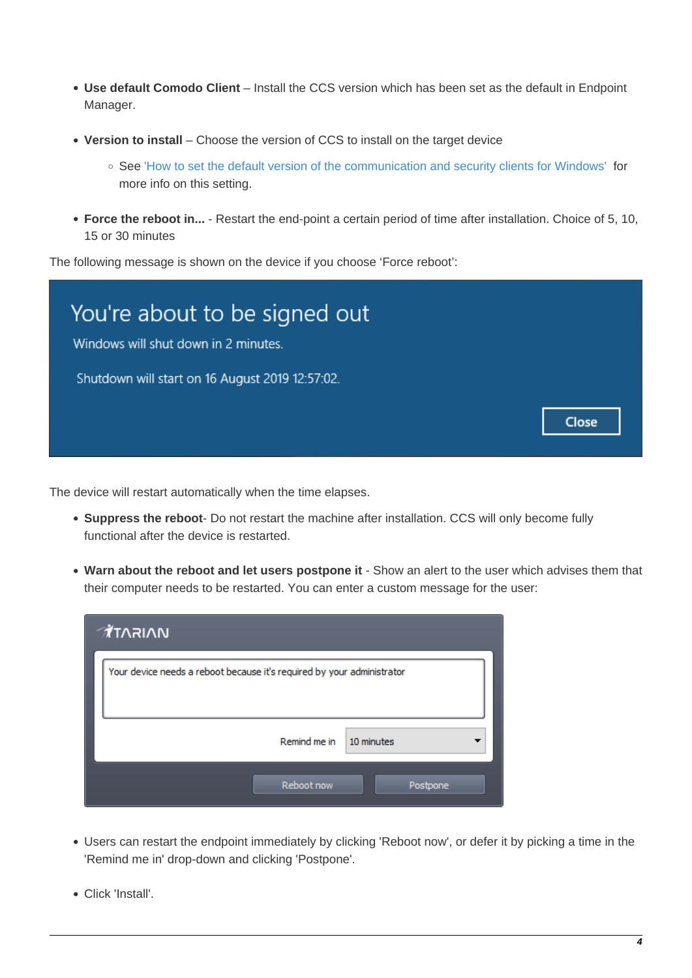- **Use default Comodo Client** Install the CCS version which has been set as the default in Endpoint Manager.
- **Version to install** Choose the version of CCS to install on the target device
	- See ['How to set the default version of the communication and security clients for Windows'](https://wiki.itarian.com/frontend/web/topic/how-to-set-the-default-version-of-the-communication-and-security-clients-for-windows) for more info on this setting.
- **Force the reboot in...** Restart the end-point a certain period of time after installation. Choice of 5, 10, 15 or 30 minutes

The following message is shown on the device if you choose 'Force reboot':



The device will restart automatically when the time elapses.

- **Suppress the reboot** Do not restart the machine after installation. CCS will only become fully functional after the device is restarted.
- **Warn about the reboot and let users postpone it**  Show an alert to the user which advises them that their computer needs to be restarted. You can enter a custom message for the user:

| <b>MAIRAT</b>                                                          |
|------------------------------------------------------------------------|
| Your device needs a reboot because it's required by your administrator |
| Remind me in<br>10 minutes                                             |
| Reboot now<br>Postpone                                                 |

- Users can restart the endpoint immediately by clicking 'Reboot now', or defer it by picking a time in the 'Remind me in' drop-down and clicking 'Postpone'.
- Click 'Install'.